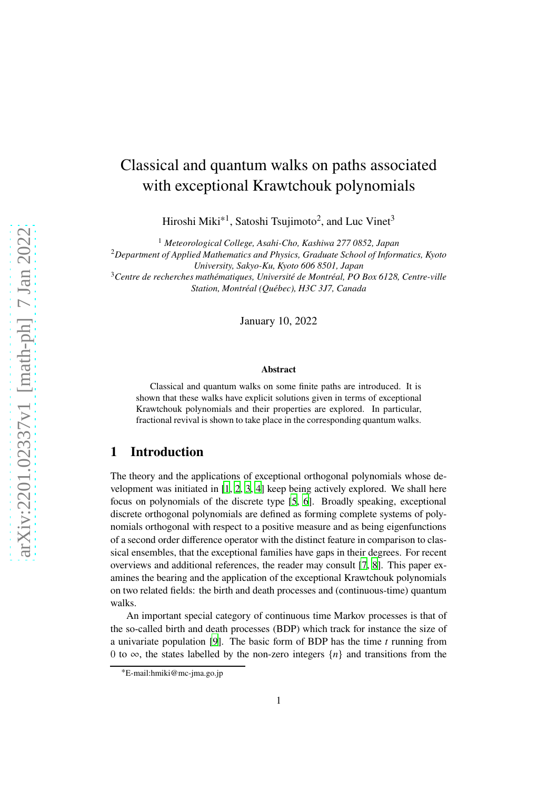# Classical and quantum walks on paths associated with exceptional Krawtchouk polynomials

Hiroshi Miki<sup>∗1</sup>, Satoshi Tsujimoto<sup>2</sup>, and Luc Vinet<sup>3</sup>

<sup>1</sup> *Meteorological College, Asahi-Cho, Kashiwa 277 0852, Japan* <sup>2</sup>*Department of Applied Mathematics and Physics, Graduate School of Informatics, Kyoto University, Sakyo-Ku, Kyoto 606 8501, Japan* <sup>3</sup>*Centre de recherches mathématiques, Université de Montréal, PO Box 6128, Centre-ville Station, Montréal (Québec), H3C 3J7, Canada*

January 10, 2022

#### **Abstract**

Classical and quantum walks on some finite paths are introduced. It is shown that these walks have explicit solutions given in terms of exceptional Krawtchouk polynomials and their properties are explored. In particular, fractional revival is shown to take place in the corresponding quantum walks.

### **1 Introduction**

The theory and the applications of exceptional orthogonal polynomials whose development was initiated in  $[1, 2, 3, 4]$  $[1, 2, 3, 4]$  $[1, 2, 3, 4]$  $[1, 2, 3, 4]$  $[1, 2, 3, 4]$  $[1, 2, 3, 4]$  $[1, 2, 3, 4]$  $[1, 2, 3, 4]$  keep being actively explored. We shall here focus on polynomials of the discrete type [\[5,](#page-18-2) [6](#page-18-3)]. Broadly speaking, exceptional discrete orthogonal polynomials are defined as forming complete systems of polynomials orthogonal with respect to a positive measure and as being eigenfunctions of a second order difference operator with the distinct feature in comparison to classical ensembles, that the exceptional families have gaps in their degrees. For recent overviews and additional references, the reader may consult [\[7](#page-18-4), [8](#page-18-5)]. This paper examines the bearing and the application of the exceptional Krawtchouk polynomials on two related fields: the birth and death processes and (continuous-time) quantum walks.

An important special category of continuous time Markov processes is that of the so-called birth and death processes (BDP) which track for instance the size of a univariate population [\[9](#page-18-6)]. The basic form of BDP has the time  $t$  running from 0 to  $\infty$ , the states labelled by the non-zero integers  $\{n\}$  and transitions from the

<sup>∗</sup>E-mail:hmiki@mc-jma.go.jp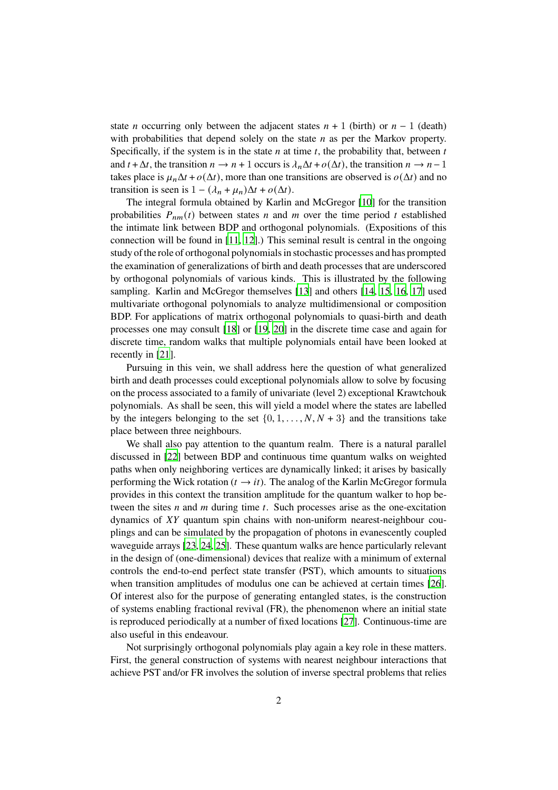state *n* occurring only between the adjacent states  $n + 1$  (birth) or  $n - 1$  (death) with probabilities that depend solely on the state  $n$  as per the Markov property. Specifically, if the system is in the state  $n$  at time  $t$ , the probability that, between  $t$ and  $t + \Delta t$ , the transition  $n \to n + 1$  occurs is  $\lambda_n \Delta t + o(\Delta t)$ , the transition  $n \to n - 1$ takes place is  $\mu_n \Delta t + o(\Delta t)$ , more than one transitions are observed is  $o(\Delta t)$  and no transition is seen is  $1 - (\lambda_n + \mu_n)\Delta t + o(\Delta t)$ .

The integral formula obtained by Karlin and McGregor [\[10](#page-18-7)] for the transition probabilities  $P_{nm}(t)$  between states  $n$  and  $m$  over the time period  $t$  established the intimate link between BDP and orthogonal polynomials. (Expositions of this connection will be found in [\[11,](#page-18-8) [12](#page-18-9)].) This seminal result is central in the ongoing study of the role of orthogonal polynomials in stochastic processes and has prompted the examination of generalizations of birth and death processes that are underscored by orthogonal polynomials of various kinds. This is illustrated by the following sampling. Karlin and McGregor themselves [\[13](#page-18-10)] and others [\[14](#page-18-11), [15](#page-19-0), [16,](#page-19-1) [17\]](#page-19-2) used multivariate orthogonal polynomials to analyze multidimensional or composition BDP. For applications of matrix orthogonal polynomials to quasi-birth and death processes one may consult [\[18](#page-19-3)] or [\[19,](#page-19-4) [20\]](#page-19-5) in the discrete time case and again for discrete time, random walks that multiple polynomials entail have been looked at recently in [\[21](#page-19-6)].

Pursuing in this vein, we shall address here the question of what generalized birth and death processes could exceptional polynomials allow to solve by focusing on the process associated to a family of univariate (level 2) exceptional Krawtchouk polynomials. As shall be seen, this will yield a model where the states are labelled by the integers belonging to the set  $\{0, 1, \ldots, N, N + 3\}$  and the transitions take place between three neighbours.

We shall also pay attention to the quantum realm. There is a natural parallel discussed in [\[22](#page-19-7)] between BDP and continuous time quantum walks on weighted paths when only neighboring vertices are dynamically linked; it arises by basically performing the Wick rotation ( $t \rightarrow it$ ). The analog of the Karlin McGregor formula provides in this context the transition amplitude for the quantum walker to hop between the sites  $n$  and  $m$  during time  $t$ . Such processes arise as the one-excitation dynamics of  $XY$  quantum spin chains with non-uniform nearest-neighbour couplings and can be simulated by the propagation of photons in evanescently coupled waveguide arrays [\[23](#page-19-8), [24](#page-19-9), [25\]](#page-19-10). These quantum walks are hence particularly relevant in the design of (one-dimensional) devices that realize with a minimum of external controls the end-to-end perfect state transfer (PST), which amounts to situations when transition amplitudes of modulus one can be achieved at certain times [\[26](#page-19-11)]. Of interest also for the purpose of generating entangled states, is the construction of systems enabling fractional revival (FR), the phenomenon where an initial state is reproduced periodically at a number of fixed locations [\[27](#page-20-0)]. Continuous-time are also useful in this endeavour.

Not surprisingly orthogonal polynomials play again a key role in these matters. First, the general construction of systems with nearest neighbour interactions that achieve PST and/or FR involves the solution of inverse spectral problems that relies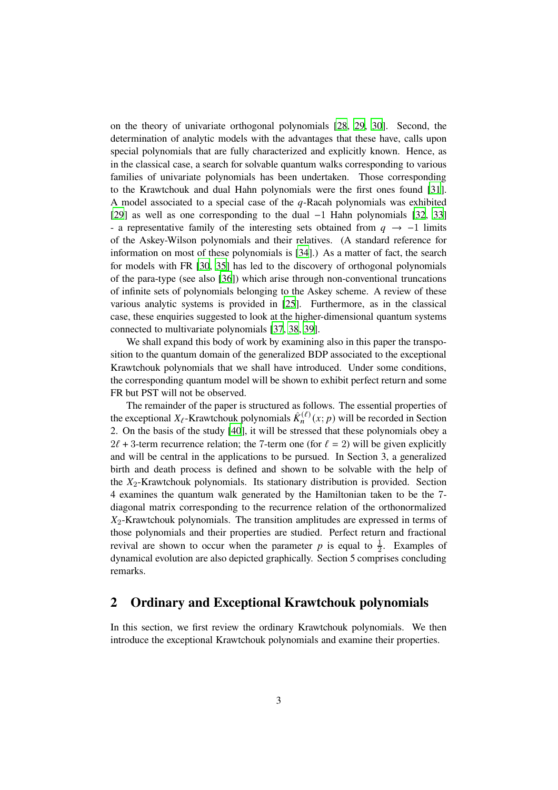on the theory of univariate orthogonal polynomials [\[28](#page-20-1), [29,](#page-20-2) [30\]](#page-20-3). Second, the determination of analytic models with the advantages that these have, calls upon special polynomials that are fully characterized and explicitly known. Hence, as in the classical case, a search for solvable quantum walks corresponding to various families of univariate polynomials has been undertaken. Those corresponding to the Krawtchouk and dual Hahn polynomials were the first ones found [\[31](#page-20-4)]. A model associated to a special case of the  $q$ -Racah polynomials was exhibited [\[29](#page-20-2)] as well as one corresponding to the dual −1 Hahn polynomials [\[32,](#page-20-5) [33\]](#page-20-6) - a representative family of the interesting sets obtained from  $q \rightarrow -1$  limits of the Askey-Wilson polynomials and their relatives. (A standard reference for information on most of these polynomials is [\[34](#page-20-7)].) As a matter of fact, the search for models with FR [\[30,](#page-20-3) [35](#page-20-8)] has led to the discovery of orthogonal polynomials of the para-type (see also [\[36](#page-20-9)]) which arise through non-conventional truncations of infinite sets of polynomials belonging to the Askey scheme. A review of these various analytic systems is provided in [\[25](#page-19-10)]. Furthermore, as in the classical case, these enquiries suggested to look at the higher-dimensional quantum systems connected to multivariate polynomials [\[37](#page-20-10), [38,](#page-20-11) [39](#page-20-12)].

We shall expand this body of work by examining also in this paper the transposition to the quantum domain of the generalized BDP associated to the exceptional Krawtchouk polynomials that we shall have introduced. Under some conditions, the corresponding quantum model will be shown to exhibit perfect return and some FR but PST will not be observed.

The remainder of the paper is structured as follows. The essential properties of the exceptional  $X_{\ell}$ -Krawtchouk polynomials  $\hat{K}_n^{(\ell)}(x; p)$  will be recorded in Section 2. On the basis of the study [\[40](#page-21-0)], it will be stressed that these polynomials obey a  $2\ell + 3$ -term recurrence relation; the 7-term one (for  $\ell = 2$ ) will be given explicitly and will be central in the applications to be pursued. In Section 3, a generalized birth and death process is defined and shown to be solvable with the help of the  $X_2$ -Krawtchouk polynomials. Its stationary distribution is provided. Section 4 examines the quantum walk generated by the Hamiltonian taken to be the 7 diagonal matrix corresponding to the recurrence relation of the orthonormalized  $X_2$ -Krawtchouk polynomials. The transition amplitudes are expressed in terms of those polynomials and their properties are studied. Perfect return and fractional revival are shown to occur when the parameter p is equal to  $\frac{1}{2}$ . Examples of dynamical evolution are also depicted graphically. Section 5 comprises concluding remarks.

### **2 Ordinary and Exceptional Krawtchouk polynomials**

In this section, we first review the ordinary Krawtchouk polynomials. We then introduce the exceptional Krawtchouk polynomials and examine their properties.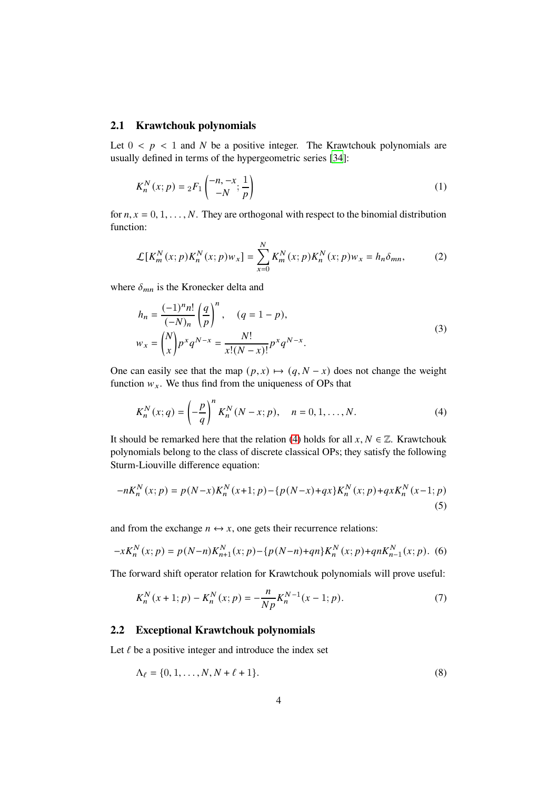#### **2.1 Krawtchouk polynomials**

Let  $0 < p < 1$  and N be a positive integer. The Krawtchouk polynomials are usually defined in terms of the hypergeometric series [\[34\]](#page-20-7):

$$
K_n^N(x;p) = {}_2F_1\left(\begin{matrix} -n, -x \\ -N, \frac{1}{p} \end{matrix}\right)
$$
 (1)

for  $n, x = 0, 1, \ldots, N$ . They are orthogonal with respect to the binomial distribution function:

$$
\mathcal{L}[K_m^N(x; p)K_n^N(x; p)w_x] = \sum_{x=0}^N K_m^N(x; p)K_n^N(x; p)w_x = h_n\delta_{mn},
$$
 (2)

where  $\delta_{mn}$  is the Kronecker delta and

$$
h_n = \frac{(-1)^n n!}{(-N)_n} \left(\frac{q}{p}\right)^n, \quad (q = 1 - p),
$$
  

$$
w_x = {N \choose x} p^x q^{N-x} = \frac{N!}{x!(N-x)!} p^x q^{N-x}.
$$
 (3)

One can easily see that the map  $(p, x) \mapsto (q, N - x)$  does not change the weight function  $w_x$ . We thus find from the uniqueness of OPs that

<span id="page-3-0"></span>
$$
K_n^N(x; q) = \left(-\frac{p}{q}\right)^n K_n^N(N - x; p), \quad n = 0, 1, ..., N.
$$
 (4)

It should be remarked here that the relation [\(4\)](#page-3-0) holds for all  $x, N \in \mathbb{Z}$ . Krawtchouk polynomials belong to the class of discrete classical OPs; they satisfy the following Sturm-Liouville difference equation:

$$
-nK_n^N(x;p) = p(N-x)K_n^N(x+1;p) - \{p(N-x) + qx\}K_n^N(x;p) + qxK_n^N(x-1;p)
$$
\n(5)

and from the exchange  $n \leftrightarrow x$ , one gets their recurrence relations:

$$
-xK_n^N(x;p) = p(N-n)K_{n+1}^N(x;p) - \{p(N-n)+qn\}K_n^N(x;p) + qnK_{n-1}^N(x;p).
$$
 (6)

The forward shift operator relation for Krawtchouk polynomials will prove useful:

$$
K_n^N(x+1;p) - K_n^N(x;p) = -\frac{n}{Np} K_n^{N-1}(x-1;p). \tag{7}
$$

#### **2.2 Exceptional Krawtchouk polynomials**

Let  $\ell$  be a positive integer and introduce the index set

$$
\Lambda_{\ell} = \{0, 1, \dots, N, N + \ell + 1\}.
$$
 (8)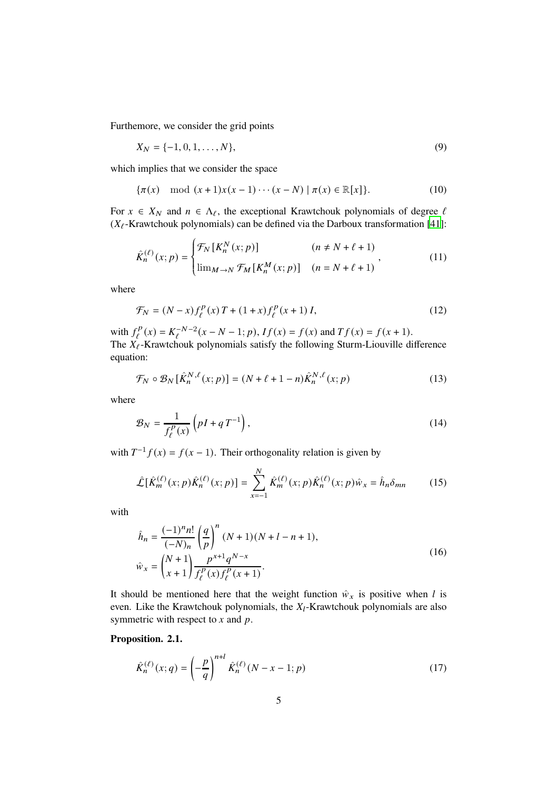Furthemore, we consider the grid points

$$
X_N = \{-1, 0, 1, \dots, N\},\tag{9}
$$

which implies that we consider the space

$$
\{\pi(x) \mod (x+1)x(x-1)\cdots(x-N) \mid \pi(x) \in \mathbb{R}[x]\}.
$$
 (10)

For  $x \in X_N$  and  $n \in \Lambda_\ell$ , the exceptional Krawtchouk polynomials of degree  $\ell$ ( $X_{\ell}$ -Krawtchouk polynomials) can be defined via the Darboux transformation [\[41\]](#page-21-1):

$$
\hat{K}_n^{(\ell)}(x;p) = \begin{cases} \mathcal{F}_N\left[K_n^N(x;p)\right] & (n \neq N + \ell + 1) \\ \lim_{M \to N} \mathcal{F}_M\left[K_n^M(x;p)\right] & (n = N + \ell + 1) \end{cases}
$$
\n(11)

where

$$
\mathcal{F}_N = (N - x) f_{\ell}^P(x) T + (1 + x) f_{\ell}^P(x + 1) I,
$$
\n(12)

with  $f^p_\ell$  $S_{\ell}^{P}(x) = K_{\ell}^{-N-2}(x - N - 1; p), If(x) = f(x) \text{ and } Tf(x) = f(x + 1).$ The  $X_{\ell}$ -Krawtchouk polynomials satisfy the following Sturm-Liouville difference equation:

$$
\mathcal{F}_N \circ \mathcal{B}_N\left[\hat{K}_n^{N,\ell}(x;p)\right] = (N+\ell+1-n)\hat{K}_n^{N,\ell}(x;p) \tag{13}
$$

where

$$
\mathcal{B}_N = \frac{1}{f_\ell^p(x)} \left( pI + qT^{-1} \right),\tag{14}
$$

with  $T^{-1}f(x) = f(x - 1)$ . Their orthogonality relation is given by

<span id="page-4-0"></span>
$$
\hat{\mathcal{L}}[\hat{K}_m^{(\ell)}(x;p)\hat{K}_n^{(\ell)}(x;p)] = \sum_{x=-1}^N \hat{K}_m^{(\ell)}(x;p)\hat{K}_n^{(\ell)}(x;p)\hat{w}_x = \hat{h}_n\delta_{mn}
$$
(15)

with

$$
\hat{h}_n = \frac{(-1)^n n!}{(-N)_n} \left(\frac{q}{p}\right)^n (N+1)(N+l-n+1),
$$
  
\n
$$
\hat{w}_x = \binom{N+1}{x+1} \frac{p^{x+1} q^{N-x}}{f_\ell^p(x) f_\ell^p(x+1)}.
$$
\n(16)

It should be mentioned here that the weight function  $\hat{w}_x$  is positive when *l* is even. Like the Krawtchouk polynomials, the  $X_l$ -Krawtchouk polynomials are also symmetric with respect to  $x$  and  $p$ .

#### <span id="page-4-1"></span>**Proposition. 2.1.**

$$
\hat{K}_n^{(\ell)}(x;q) = \left(-\frac{p}{q}\right)^{n+l} \hat{K}_n^{(\ell)}(N-x-1;p)
$$
\n(17)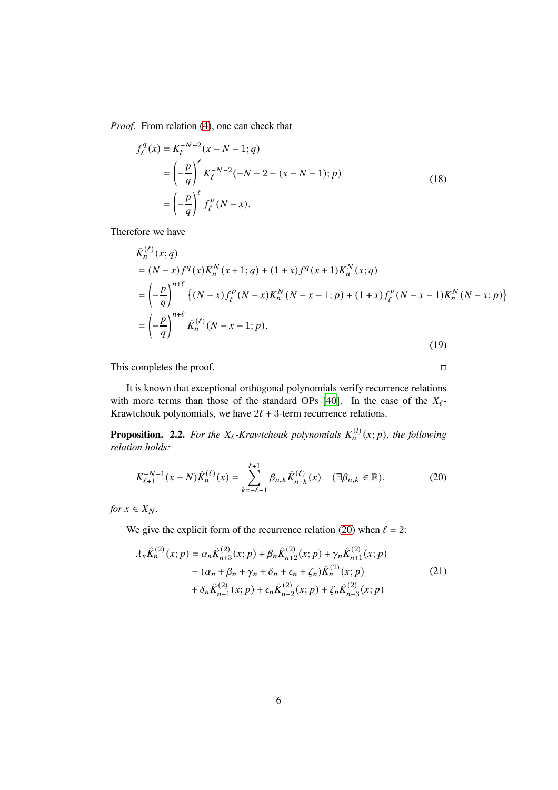*Proof.* From relation [\(4\)](#page-3-0), one can check that

$$
f_{\ell}^{q}(x) = K_{l}^{-N-2}(x - N - 1; q)
$$
  
=  $\left(-\frac{p}{q}\right)^{\ell} K_{\ell}^{-N-2}(-N - 2 - (x - N - 1); p)$   
=  $\left(-\frac{p}{q}\right)^{\ell} f_{\ell}^{p}(N - x).$  (18)

Therefore we have

$$
\hat{K}_n^{(\ell)}(x;q) \n= (N-x)f^q(x)K_n^N(x+1;q) + (1+x)f^q(x+1)K_n^N(x;q) \n= \left(-\frac{p}{q}\right)^{n+\ell} \{(N-x)f^p(\ell-N)K_n^N(N-x-1;p) + (1+x)f^p(\ell-N-x+1)K_n^N(N-x;p)\} \n= \left(-\frac{p}{q}\right)^{n+\ell} \hat{K}_n^{(\ell)}(N-x-1;p).
$$
\n(19)

This completes the proof.

It is known that exceptional orthogonal polynomials verify recurrence relations with more terms than those of the standard OPs [\[40\]](#page-21-0). In the case of the  $X_{\ell}$ -Krawtchouk polynomials, we have  $2\ell + 3$ -term recurrence relations.

**Proposition. 2.2.** For the  $X_{\ell}$ -Krawtchouk polynomials  $K_n^{(l)}(x; p)$ , the following *relation holds:*

<span id="page-5-0"></span>
$$
K_{\ell+1}^{-N-1}(x-N)\hat{K}_n^{(\ell)}(x) = \sum_{k=-\ell-1}^{\ell+1} \beta_{n,k} \hat{K}_{n+k}^{(\ell)}(x) \quad (\exists \beta_{n,k} \in \mathbb{R}).
$$
 (20)

*for*  $x \in X_N$ .

We give the explicit form of the recurrence relation [\(20\)](#page-5-0) when  $\ell = 2$ :

<span id="page-5-1"></span>
$$
\lambda_{x}\hat{K}_{n}^{(2)}(x;p) = \alpha_{n}\hat{K}_{n+3}^{(2)}(x;p) + \beta_{n}\hat{K}_{n+2}^{(2)}(x;p) + \gamma_{n}\hat{K}_{n+1}^{(2)}(x;p) - (\alpha_{n} + \beta_{n} + \gamma_{n} + \delta_{n} + \epsilon_{n} + \zeta_{n})\hat{K}_{n}^{(2)}(x;p) + \delta_{n}\hat{K}_{n-1}^{(2)}(x;p) + \epsilon_{n}\hat{K}_{n-2}^{(2)}(x;p) + \zeta_{n}\hat{K}_{n-3}^{(2)}(x;p)
$$
\n(21)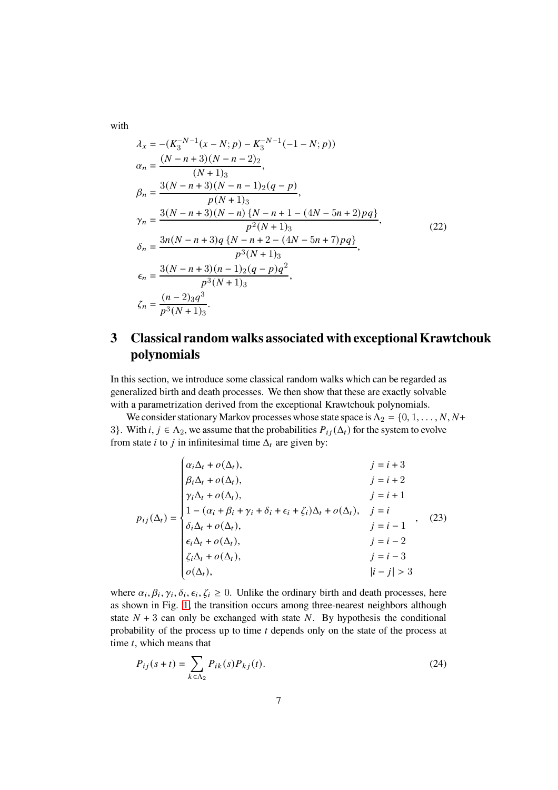with

<span id="page-6-1"></span>
$$
\lambda_x = -(K_3^{-N-1}(x - N; p) - K_3^{-N-1}(-1 - N; p))
$$
\n
$$
\alpha_n = \frac{(N - n + 3)(N - n - 2)_2}{(N + 1)_3},
$$
\n
$$
\beta_n = \frac{3(N - n + 3)(N - n - 1)_2(q - p)}{p(N + 1)_3},
$$
\n
$$
\gamma_n = \frac{3(N - n + 3)(N - n) \{N - n + 1 - (4N - 5n + 2)pq\}}{p^2(N + 1)_3},
$$
\n
$$
\delta_n = \frac{3n(N - n + 3)q \{N - n + 2 - (4N - 5n + 7)pq\}}{p^3(N + 1)_3},
$$
\n
$$
\epsilon_n = \frac{3(N - n + 3)(n - 1)_2(q - p)q^2}{p^3(N + 1)_3},
$$
\n
$$
\zeta_n = \frac{(n - 2)_3q^3}{p^3(N + 1)_3}.
$$
\n(22)

## **3 Classical random walks associated with exceptional Krawtchouk polynomials**

In this section, we introduce some classical random walks which can be regarded as generalized birth and death processes. We then show that these are exactly solvable with a parametrization derived from the exceptional Krawtchouk polynomials.

<span id="page-6-0"></span> $\overline{1}$ 

We consider stationary Markov processes whose state space is  $\Lambda_2 = \{0, 1, \ldots, N, N^+\}$ 3}. With  $i, j \in \Lambda_2$ , we assume that the probabilities  $P_{ij}(\Lambda_t)$  for the system to evolve from state *i* to *j* in infinitesimal time  $\Delta_t$  are given by:

$$
p_{ij}(\Delta_t) = \begin{cases} \alpha_i \Delta_t + o(\Delta_t), & j = i + 3 \\ \beta_i \Delta_t + o(\Delta_t), & j = i + 2 \\ \gamma_i \Delta_t + o(\Delta_t), & j = i + 1 \\ 1 - (\alpha_i + \beta_i + \gamma_i + \delta_i + \epsilon_i + \zeta_i) \Delta_t + o(\Delta_t), & j = i \\ \delta_i \Delta_t + o(\Delta_t), & j = i - 1 \\ \epsilon_i \Delta_t + o(\Delta_t), & j = i - 2 \\ \zeta_i \Delta_t + o(\Delta_t), & j = i - 3 \\ o(\Delta_t), & |i - j| > 3 \end{cases}
$$
 (23)

where  $\alpha_i, \beta_i, \gamma_i, \delta_i, \epsilon_i, \zeta_i \geq 0$ . Unlike the ordinary birth and death processes, here as shown in Fig. [1,](#page-7-0) the transition occurs among three-nearest neighbors although state  $N + 3$  can only be exchanged with state N. By hypothesis the conditional probability of the process up to time  $t$  depends only on the state of the process at time  $t$ , which means that

$$
P_{ij}(s+t) = \sum_{k \in \Lambda_2} P_{ik}(s) P_{kj}(t).
$$
 (24)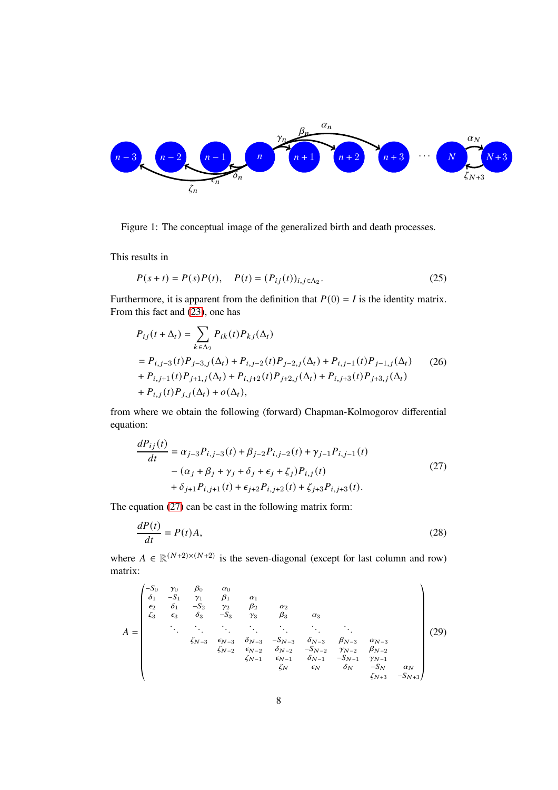

<span id="page-7-0"></span>Figure 1: The conceptual image of the generalized birth and death processes.

This results in

$$
P(s+t) = P(s)P(t), \quad P(t) = (P_{ij}(t))_{i,j \in \Lambda_2}.
$$
\n(25)

Furthermore, it is apparent from the definition that  $P(0) = I$  is the identity matrix. From this fact and [\(23\)](#page-6-0), one has

$$
P_{ij}(t + \Delta_t) = \sum_{k \in \Lambda_2} P_{ik}(t) P_{kj}(\Delta_t)
$$
  
=  $P_{i,j-3}(t) P_{j-3,j}(\Delta_t) + P_{i,j-2}(t) P_{j-2,j}(\Delta_t) + P_{i,j-1}(t) P_{j-1,j}(\Delta_t)$  (26)  
+  $P_{i,j+1}(t) P_{j+1,j}(\Delta_t) + P_{i,j+2}(t) P_{j+2,j}(\Delta_t) + P_{i,j+3}(t) P_{j+3,j}(\Delta_t)$   
+  $P_{i,j}(t) P_{j,j}(\Delta_t) + o(\Delta_t)$ ,

from where we obtain the following (forward) Chapman-Kolmogorov differential equation:

<span id="page-7-1"></span>
$$
\frac{dP_{ij}(t)}{dt} = \alpha_{j-3} P_{i,j-3}(t) + \beta_{j-2} P_{i,j-2}(t) + \gamma_{j-1} P_{i,j-1}(t) - (\alpha_j + \beta_j + \gamma_j + \delta_j + \epsilon_j + \zeta_j) P_{i,j}(t) + \delta_{j+1} P_{i,j+1}(t) + \epsilon_{j+2} P_{i,j+2}(t) + \zeta_{j+3} P_{i,j+3}(t).
$$
\n(27)

The equation [\(27\)](#page-7-1) can be cast in the following matrix form:

$$
\frac{dP(t)}{dt} = P(t)A,\tag{28}
$$

where  $A \in \mathbb{R}^{(N+2)\times(N+2)}$  is the seven-diagonal (except for last column and row) matrix:

<span id="page-7-2"></span>
$$
A = \begin{pmatrix}\n-S_0 & \gamma_0 & \beta_0 & \alpha_0 \\
\delta_1 & -S_1 & \gamma_1 & \beta_1 & \alpha_1 \\
\epsilon_2 & \delta_1 & -S_2 & \gamma_2 & \beta_2 & \alpha_2 \\
\zeta_3 & \epsilon_3 & \delta_3 & -S_3 & \gamma_3 & \beta_3 & \alpha_3 \\
& \ddots & \ddots & \ddots & \ddots & \ddots \\
& & \ddots & \ddots & \ddots \\
& & & & \zeta_{N-3} & \epsilon_{N-3} & \delta_{N-3} & -S_{N-3} & \delta_{N-3} & \beta_{N-3} & \alpha_{N-3} \\
& & & & & \zeta_{N-2} & \epsilon_{N-2} & \delta_{N-2} & -S_{N-2} & \gamma_{N-2} & \beta_{N-2} \\
& & & & & & \zeta_{N-1} & \epsilon_{N-1} & \delta_{N-1} & -S_{N-1} & \gamma_{N-1} \\
& & & & & & \zeta_N & \epsilon_N & \delta_N & -S_N & \alpha_N \\
& & & & & & & \zeta_{N+3} & -S_{N+3}\n\end{pmatrix}
$$
\n(29)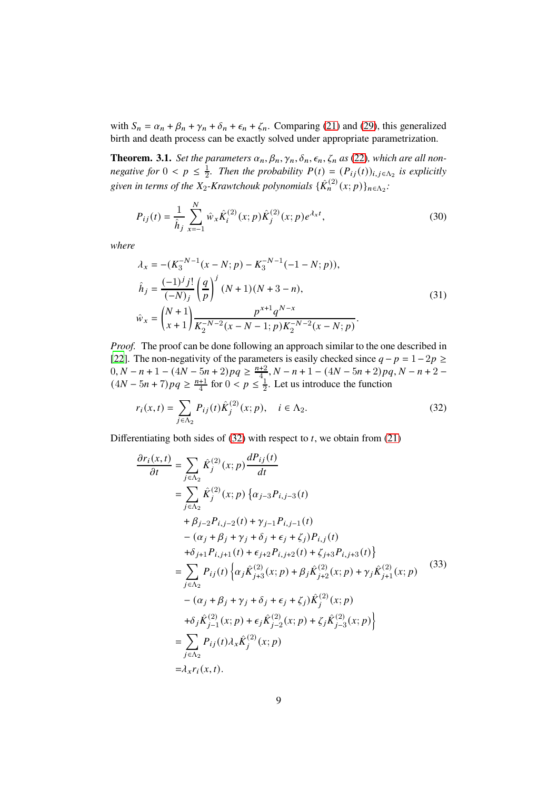with  $S_n = \alpha_n + \beta_n + \gamma_n + \delta_n + \epsilon_n + \zeta_n$ . Comparing [\(21\)](#page-5-1) and [\(29\)](#page-7-2), this generalized birth and death process can be exactly solved under appropriate parametrization.

<span id="page-8-1"></span>**Theorem. 3.1.** *Set the parameters*  $\alpha_n, \beta_n, \gamma_n, \delta_n, \epsilon_n, \zeta_n$  *as* [\(22\)](#page-6-1)*, which are all nonnegative for*  $0 < p \leq \frac{1}{2}$  $\frac{1}{2}$ . Then the probability  $P(t) = (P_{ij}(t))_{i,j \in \Lambda_2}$  is explicitly given in terms of the  $X_2$ -Krawtchouk polynomials  $\{\hat{K}_n^{(2)}(x;p)\}_{n \in \Lambda_2}$ :

<span id="page-8-2"></span>
$$
P_{ij}(t) = \frac{1}{\hat{h}_j} \sum_{x=-1}^{N} \hat{w}_x \hat{K}_i^{(2)}(x; p) \hat{K}_j^{(2)}(x; p) e^{\lambda_x t},
$$
\n(30)

*where*

$$
\lambda_x = -(K_3^{-N-1}(x - N; p) - K_3^{-N-1}(-1 - N; p)),
$$
\n
$$
\hat{h}_j = \frac{(-1)^j j!}{(-N)_j} \left(\frac{q}{p}\right)^j (N+1)(N+3-n),
$$
\n
$$
\hat{w}_x = \binom{N+1}{x+1} \frac{p^{x+1} q^{N-x}}{K_2^{-N-2} (x - N - 1; p) K_2^{-N-2} (x - N; p)}.
$$
\n(31)

*Proof.* The proof can be done following an approach similar to the one described in [\[22](#page-19-7)]. The non-negativity of the parameters is easily checked since  $q - p = 1 - 2p \ge$  $(0, N - n + 1 - (4N - 5n + 2)pq \geq \frac{n+2}{4}, N - n + 1 - (4N - 5n + 2)pq, N - n + 2 (4N - 5n + 7)pq \ge \frac{n+1}{4}$  for  $0 < p \le \frac{1}{2}$  $\frac{1}{2}$ . Let us introduce the function

<span id="page-8-0"></span>
$$
r_i(x,t) = \sum_{j \in \Lambda_2} P_{ij}(t) \hat{K}_j^{(2)}(x;p), \quad i \in \Lambda_2.
$$
 (32)

Differentiating both sides of  $(32)$  with respect to *t*, we obtain from  $(21)$ 

$$
\frac{\partial r_i(x,t)}{\partial t} = \sum_{j \in \Lambda_2} \hat{K}_j^{(2)}(x; p) \frac{dP_{ij}(t)}{dt}
$$
\n
$$
= \sum_{j \in \Lambda_2} \hat{K}_j^{(2)}(x; p) \{ \alpha_{j-3} P_{i,j-3}(t) + \beta_{j-2} P_{i,j-2}(t) + \gamma_{j-1} P_{i,j-1}(t) + \beta_{j-2} P_{i,j-2}(t) + \gamma_{j-1} P_{i,j-1}(t) -(\alpha_j + \beta_j + \gamma_j + \delta_j + \epsilon_j + \zeta_j) P_{i,j}(t)
$$
\n
$$
+ \delta_{j+1} P_{i,j+1}(t) + \epsilon_{j+2} P_{i,j+2}(t) + \zeta_{j+3} P_{i,j+3}(t) \}
$$
\n
$$
= \sum_{j \in \Lambda_2} P_{ij}(t) \{ \alpha_j \hat{K}_{j+3}^{(2)}(x; p) + \beta_j \hat{K}_{j+2}^{(2)}(x; p) + \gamma_j \hat{K}_{j+1}^{(2)}(x; p) -(\alpha_j + \beta_j + \gamma_j + \delta_j + \epsilon_j + \zeta_j) \hat{K}_j^{(2)}(x; p) + \delta_j \hat{K}_{j-1}^{(2)}(x; p) + \epsilon_j \hat{K}_{j-2}^{(2)}(x; p) + \zeta_j \hat{K}_{j-3}^{(2)}(x; p) \}
$$
\n
$$
= \sum_{j \in \Lambda_2} P_{ij}(t) \lambda_x \hat{K}_j^{(2)}(x; p)
$$
\n
$$
= \lambda_x r_i(x, t).
$$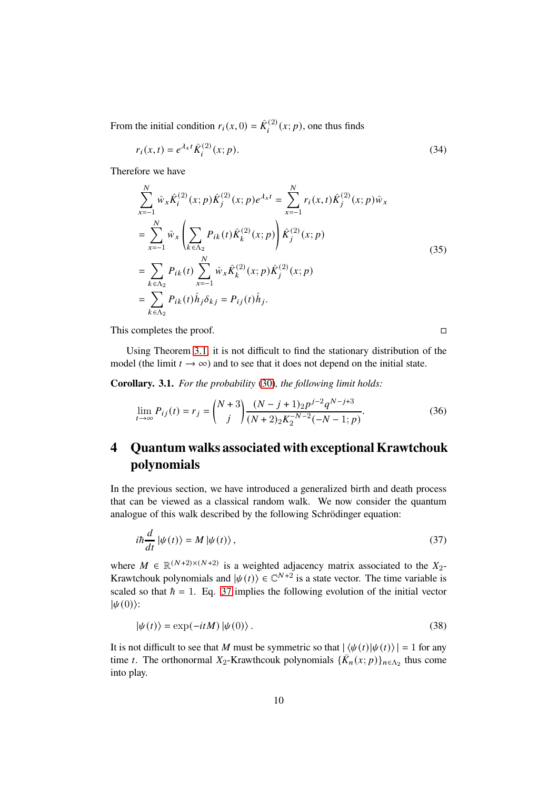From the initial condition  $r_i(x, 0) = \hat{K}_i^{(2)}(x; p)$ , one thus finds

$$
r_i(x,t) = e^{\lambda_x t} \hat{K}_i^{(2)}(x;p).
$$
 (34)

Therefore we have

$$
\sum_{x=-1}^{N} \hat{w}_x \hat{K}_i^{(2)}(x; p) \hat{K}_j^{(2)}(x; p) e^{\lambda_x t} = \sum_{x=-1}^{N} r_i(x, t) \hat{K}_j^{(2)}(x; p) \hat{w}_x
$$
\n
$$
= \sum_{x=-1}^{N} \hat{w}_x \left( \sum_{k \in \Lambda_2} P_{ik}(t) \hat{K}_k^{(2)}(x; p) \right) \hat{K}_j^{(2)}(x; p)
$$
\n
$$
= \sum_{k \in \Lambda_2} P_{ik}(t) \sum_{x=-1}^{N} \hat{w}_x \hat{K}_k^{(2)}(x; p) \hat{K}_j^{(2)}(x; p)
$$
\n
$$
= \sum_{k \in \Lambda_2} P_{ik}(t) \hat{h}_j \delta_{kj} = P_{ij}(t) \hat{h}_j.
$$
\n(35)

This completes the proof.

<span id="page-9-0"></span>

Using Theorem [3.1,](#page-8-1) it is not difficult to find the stationary distribution of the model (the limit  $t \to \infty$ ) and to see that it does not depend on the initial state.

**Corollary. 3.1.** *For the probability* [\(30\)](#page-8-2)*, the following limit holds:*

$$
\lim_{t \to \infty} P_{ij}(t) = r_j = {N+3 \choose j} \frac{(N-j+1)_{2} p^{j-2} q^{N-j+3}}{(N+2)_{2} K_{2}^{-N-2}(-N-1;p)}.
$$
\n(36)

## **4 Quantum walks associated with exceptional Krawtchouk polynomials**

In the previous section, we have introduced a generalized birth and death process that can be viewed as a classical random walk. We now consider the quantum analogue of this walk described by the following Schrödinger equation:

$$
i\hbar \frac{d}{dt} |\psi(t)\rangle = M |\psi(t)\rangle, \qquad (37)
$$

where  $M \in \mathbb{R}^{(N+2)\times(N+2)}$  is a weighted adjacency matrix associated to the  $X_2$ -Krawtchouk polynomials and  $|\psi(t)\rangle \in \mathbb{C}^{N+2}$  is a state vector. The time variable is scaled so that  $\hbar = 1$ . Eq. [37](#page-9-0) implies the following evolution of the initial vector  $|\psi(0)\rangle$ :

$$
|\psi(t)\rangle = \exp(-itM)|\psi(0)\rangle.
$$
 (38)

It is not difficult to see that M must be symmetric so that  $|\langle \psi(t) | \psi(t) \rangle| = 1$  for any time *t*. The orthonormal  $X_2$ -Krawthcouk polynomials  $\{\bar{K}_n(x; p)\}_{n \in \Lambda_2}$  thus come into play.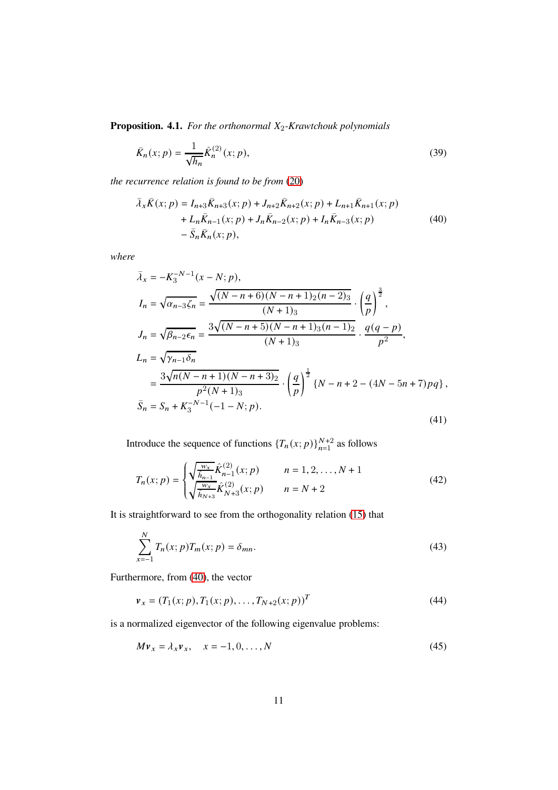**Proposition. 4.1.** *For the orthonormal*  $X_2$ *-Krawtchouk polynomials* 

$$
\bar{K}_n(x;p) = \frac{1}{\sqrt{h_n}} \hat{K}_n^{(2)}(x;p),
$$
\n(39)

*the recurrence relation is found to be from* [\(20\)](#page-5-0)

<span id="page-10-0"></span>
$$
\bar{\lambda}_{x}\bar{K}(x;p) = I_{n+3}\bar{K}_{n+3}(x;p) + J_{n+2}\bar{K}_{n+2}(x;p) + L_{n+1}\bar{K}_{n+1}(x;p) \n+ L_{n}\bar{K}_{n-1}(x;p) + J_{n}\bar{K}_{n-2}(x;p) + I_{n}\bar{K}_{n-3}(x;p) \n- \bar{S}_{n}\bar{K}_{n}(x;p),
$$
\n(40)

*where*

$$
\bar{\lambda}_x = -K_3^{-N-1}(x - N; p),
$$
\n
$$
I_n = \sqrt{\alpha_{n-3}\zeta_n} = \frac{\sqrt{(N-n+6)(N-n+1)_2(n-2)_3}}{(N+1)_3} \cdot \left(\frac{q}{p}\right)^{\frac{3}{2}},
$$
\n
$$
J_n = \sqrt{\beta_{n-2}\epsilon_n} = \frac{3\sqrt{(N-n+5)(N-n+1)_3(n-1)_2}}{(N+1)_3} \cdot \frac{q(q-p)}{p^2},
$$
\n
$$
L_n = \sqrt{\gamma_{n-1}\delta_n}
$$
\n
$$
= \frac{3\sqrt{n(N-n+1)(N-n+3)_2}}{p^2(N+1)_3} \cdot \left(\frac{q}{p}\right)^{\frac{1}{2}} \{N-n+2-(4N-5n+7)pq\},
$$
\n
$$
\bar{S}_n = S_n + K_3^{-N-1}(-1-N; p).
$$
\n(41)

Introduce the sequence of functions  $\{T_n(x; p)\}_{n=1}^{N+2}$  as follows

$$
T_n(x; p) = \begin{cases} \sqrt{\frac{w_x}{\hat{h}_{n-1}}} \hat{K}_{n-1}^{(2)}(x; p) & n = 1, 2, ..., N+1\\ \sqrt{\frac{w_x}{\hat{h}_{N+3}}} \hat{K}_{N+3}^{(2)}(x; p) & n = N+2 \end{cases}
$$
(42)

It is straightforward to see from the orthogonality relation [\(15\)](#page-4-0) that

<span id="page-10-1"></span>
$$
\sum_{x=-1}^{N} T_n(x; p) T_m(x; p) = \delta_{mn}.
$$
\n(43)

Furthermore, from [\(40\)](#page-10-0), the vector

$$
\mathbf{v}_x = (T_1(x; p), T_1(x; p), \dots, T_{N+2}(x; p))^T
$$
\n(44)

is a normalized eigenvector of the following eigenvalue problems:

<span id="page-10-2"></span>
$$
Mv_x = \lambda_x v_x, \quad x = -1, 0, \dots, N
$$
\n
$$
(45)
$$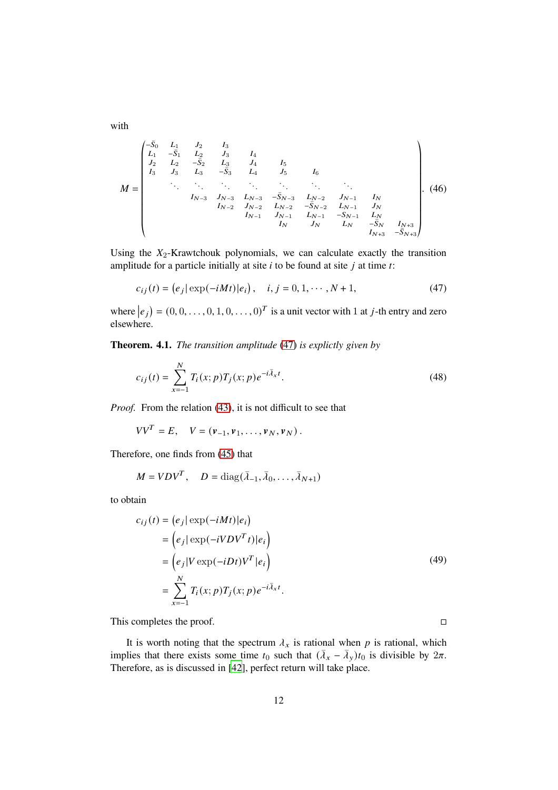with

𝑀 = © « <sup>−</sup>𝑆¯<sup>0</sup> <sup>𝐿</sup><sup>1</sup> <sup>𝐽</sup><sup>2</sup> <sup>𝐼</sup><sup>3</sup> <sup>𝐿</sup><sup>1</sup> <sup>−</sup>𝑆¯<sup>1</sup> <sup>𝐿</sup><sup>2</sup> <sup>𝐽</sup><sup>3</sup> <sup>𝐼</sup><sup>4</sup> <sup>𝐽</sup><sup>2</sup> <sup>𝐿</sup><sup>2</sup> <sup>−</sup>𝑆¯<sup>2</sup> <sup>𝐿</sup><sup>3</sup> <sup>𝐽</sup><sup>4</sup> <sup>𝐼</sup><sup>5</sup> <sup>𝐼</sup><sup>3</sup> <sup>𝐽</sup><sup>3</sup> <sup>𝐿</sup><sup>3</sup> <sup>−</sup>𝑆¯ 3 𝐿4 𝐽5 𝐼6 . . . . . . . . . . . . . . . . . . . . . <sup>𝐼</sup>𝑁−<sup>3</sup> <sup>𝐽</sup>𝑁−<sup>3</sup> <sup>𝐿</sup>𝑁−<sup>3</sup> <sup>−</sup>𝑆¯𝑁−<sup>3</sup> <sup>𝐿</sup>𝑁−<sup>2</sup> <sup>𝐽</sup>𝑁−<sup>1</sup> <sup>𝐼</sup><sup>𝑁</sup> <sup>𝐼</sup>𝑁−<sup>2</sup> <sup>𝐽</sup>𝑁−<sup>2</sup> <sup>𝐿</sup>𝑁−<sup>2</sup> <sup>−</sup>𝑆¯𝑁−<sup>2</sup> <sup>𝐿</sup>𝑁−<sup>1</sup> <sup>𝐽</sup><sup>𝑁</sup> 𝐼𝑁−<sup>1</sup> 𝐽𝑁−<sup>1</sup> 𝐿𝑁−<sup>1</sup> −𝑆𝑁−<sup>1</sup> 𝐿<sup>𝑁</sup> <sup>𝐼</sup><sup>𝑁</sup> <sup>𝐽</sup><sup>𝑁</sup> <sup>𝐿</sup><sup>𝑁</sup> <sup>−</sup>𝑆¯<sup>𝑁</sup> <sup>𝐼</sup>𝑁+<sup>3</sup> <sup>𝐼</sup>𝑁+<sup>3</sup> <sup>−</sup>𝑆¯𝑁+<sup>3</sup> ª ® ® ® ® ® ® ® ® ® ® ® ¬ . (46)

Using the  $X_2$ -Krawtchouk polynomials, we can calculate exactly the transition amplitude for a particle initially at site  $i$  to be found at site  $j$  at time  $t$ :

<span id="page-11-0"></span>
$$
c_{ij}(t) = (e_j | \exp(-iMt) | e_i), \quad i, j = 0, 1, \cdots, N+1,
$$
 (47)

where  $|e_j| = (0, 0, \dots, 0, 1, 0, \dots, 0)^T$  is a unit vector with 1 at *j*-th entry and zero elsewhere.

**Theorem. 4.1.** *The transition amplitude* [\(47\)](#page-11-0) *is explictly given by*

$$
c_{ij}(t) = \sum_{x=-1}^{N} T_i(x; p) T_j(x; p) e^{-i\bar{\lambda}_x t}.
$$
\n(48)

*Proof.* From the relation [\(43\)](#page-10-1), it is not difficult to see that

$$
VVT = E, \quad V = (\nu_{-1}, \nu_1, \ldots, \nu_N, \nu_N).
$$

Therefore, one finds from [\(45\)](#page-10-2) that

$$
M = VDV^T, \quad D = \text{diag}(\bar{\lambda}_{-1}, \bar{\lambda}_0, \dots, \bar{\lambda}_{N+1})
$$

to obtain

$$
c_{ij}(t) = (e_j | \exp(-iMt) | e_i)
$$
  
=  $(e_j | \exp(-iVDV^T t) | e_i)$   
=  $(e_j | V \exp(-iDt) V^T | e_i)$   
=  $\sum_{x=-1}^{N} T_i(x; p) T_j(x; p) e^{-i\bar{\lambda}_x t}.$  (49)

This completes the proof.

It is worth noting that the spectrum  $\lambda_x$  is rational when p is rational, which implies that there exists some time  $t_0$  such that  $(\bar{\lambda}_x - \bar{\lambda}_y)t_0$  is divisible by  $2\pi$ . Therefore, as is discussed in [\[42](#page-21-2)], perfect return will take place.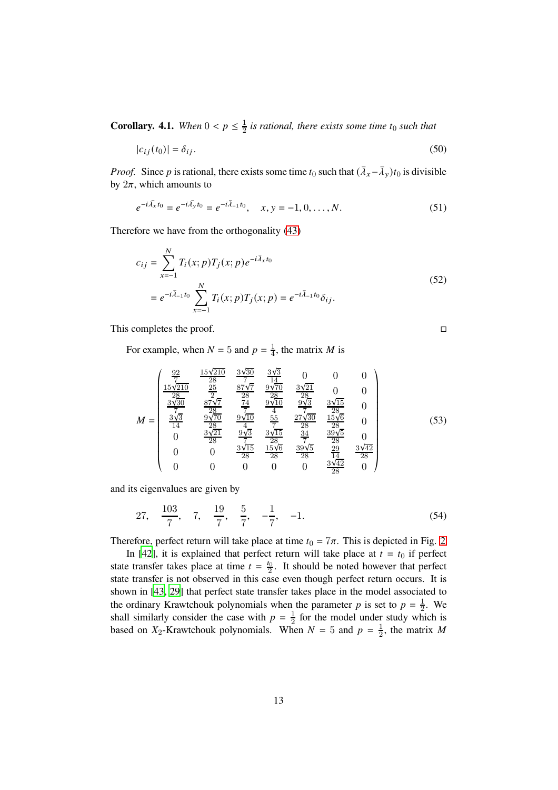<span id="page-12-0"></span>**Corollary. 4.1.** *When*  $0 < p \leq \frac{1}{2}$  $\frac{1}{2}$  is rational, there exists some time  $t_0$  such that

$$
|c_{ij}(t_0)| = \delta_{ij}.\tag{50}
$$

*Proof.* Since *p* is rational, there exists some time  $t_0$  such that  $(\bar{\lambda}_x - \bar{\lambda}_y)t_0$  is divisible by  $2\pi$ , which amounts to

$$
e^{-i\bar{\lambda_x}t_0} = e^{-i\bar{\lambda_y}t_0} = e^{-i\bar{\lambda}_{-1}t_0}, \quad x, y = -1, 0, \dots, N.
$$
 (51)

Therefore we have from the orthogonality [\(43\)](#page-10-1)

$$
c_{ij} = \sum_{x=-1}^{N} T_i(x; p) T_j(x; p) e^{-i\bar{\lambda}_x t_0}
$$
  
=  $e^{-i\bar{\lambda}_{-1}t_0} \sum_{x=-1}^{N} T_i(x; p) T_j(x; p) = e^{-i\bar{\lambda}_{-1}t_0} \delta_{ij}.$  (52)

This completes the proof.

For example, when  $N = 5$  and  $p = \frac{1}{4}$  $\frac{1}{4}$ , the matrix *M* is

$$
M = \begin{pmatrix} \frac{92}{7} & \frac{15\sqrt{210}}{28} & \frac{3\sqrt{30}}{7} & \frac{3\sqrt{3}}{14} & 0 & 0 & 0\\ \frac{15\sqrt{210}}{28} & \frac{25}{2} & \frac{87\sqrt{7}}{28} & \frac{9\sqrt{70}}{28} & \frac{3\sqrt{21}}{28} & 0 & 0\\ \frac{3\sqrt{30}}{7} & \frac{87\sqrt{7}}{7} & \frac{74}{2} & \frac{9\sqrt{10}}{4} & \frac{9\sqrt{3}}{7} & \frac{3\sqrt{15}}{28} & 0\\ \frac{3\sqrt{3}}{14} & \frac{9\sqrt{70}}{28} & \frac{9\sqrt{10}}{4} & \frac{55}{7} & \frac{27\sqrt{30}}{28} & \frac{15\sqrt{6}}{28} & 0\\ 0 & \frac{3\sqrt{21}}{28} & \frac{9\sqrt{3}}{4} & \frac{3\sqrt{15}}{28} & \frac{34}{28} & \frac{39\sqrt{5}}{28} & 0\\ 0 & 0 & \frac{3\sqrt{15}}{28} & \frac{15\sqrt{6}}{28} & \frac{39\sqrt{5}}{28} & \frac{29}{14} & \frac{3\sqrt{42}}{28}\\ 0 & 0 & 0 & 0 & 0 & \frac{3\sqrt{42}}{28} & 0 \end{pmatrix}
$$
(53)

and its eigenvalues are given by

27, 
$$
\frac{103}{7}
$$
, 7,  $\frac{19}{7}$ ,  $\frac{5}{7}$ ,  $-\frac{1}{7}$ , -1. (54)

Therefore, perfect return will take place at time  $t_0 = 7\pi$ . This is depicted in Fig. [2](#page-13-0)

In [\[42](#page-21-2)], it is explained that perfect return will take place at  $t = t_0$  if perfect state transfer takes place at time  $t = \frac{t_0}{2}$ . It should be noted however that perfect state transfer is not observed in this case even though perfect return occurs. It is shown in [\[43](#page-21-3), [29\]](#page-20-2) that perfect state transfer takes place in the model associated to the ordinary Krawtchouk polynomials when the parameter p is set to  $p = \frac{1}{2}$  $\frac{1}{2}$ . We shall similarly consider the case with  $p = \frac{1}{2}$  $\frac{1}{2}$  for the model under study which is based on  $X_2$ -Krawtchouk polynomials. When  $N = 5$  and  $p = \frac{1}{2}$  $\frac{1}{2}$ , the matrix M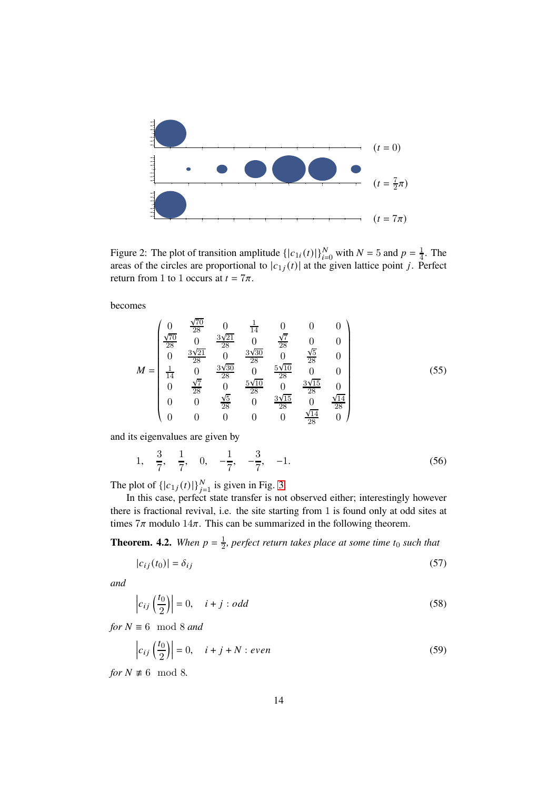

<span id="page-13-0"></span>Figure 2: The plot of transition amplitude  $\{|c_{1i}(t)|\}_{i=0}^{N}$  with  $N = 5$  and  $p = \frac{1}{4}$  $\frac{1}{4}$ . The areas of the circles are proportional to  $|c_{1j}(t)|$  at the given lattice point *j*. Perfect return from 1 to 1 occurs at  $t = 7\pi$ .

becomes

$$
M = \begin{pmatrix} 0 & \frac{\sqrt{70}}{28} & 0 & \frac{1}{14} & 0 & 0 & 0 \\ \frac{\sqrt{70}}{28} & 0 & \frac{3\sqrt{21}}{28} & 0 & \frac{\sqrt{7}}{28} & 0 & 0 \\ 0 & \frac{3\sqrt{21}}{28} & 0 & \frac{3\sqrt{30}}{28} & 0 & \frac{\sqrt{5}}{28} & 0 \\ \frac{1}{14} & 0 & \frac{3\sqrt{30}}{28} & 0 & \frac{5\sqrt{10}}{28} & 0 & 0 \\ 0 & \frac{\sqrt{7}}{28} & 0 & \frac{5\sqrt{10}}{28} & 0 & \frac{3\sqrt{15}}{28} & 0 \\ 0 & 0 & \frac{\sqrt{5}}{28} & 0 & \frac{3\sqrt{15}}{28} & 0 & \frac{\sqrt{14}}{28} \\ 0 & 0 & 0 & 0 & 0 & \frac{\sqrt{14}}{28} & 0 \end{pmatrix}
$$
(55)

and its eigenvalues are given by

1, 
$$
\frac{3}{7}
$$
,  $\frac{1}{7}$ , 0,  $-\frac{1}{7}$ ,  $-\frac{3}{7}$ , -1. (56)

The plot of  $\{|c_{1j}(t)|\}_{j=1}^{N}$  is given in Fig. [3.](#page-14-0)

In this case, perfect state transfer is not observed either; interestingly however there is fractional revival, i.e. the site starting from 1 is found only at odd sites at times  $7\pi$  modulo  $14\pi$ . This can be summarized in the following theorem.

<span id="page-13-1"></span>**Theorem. 4.2.** *When*  $p = \frac{1}{2}$  $\frac{1}{2}$ , perfect return takes place at some time t<sub>0</sub> such that

$$
|c_{ij}(t_0)| = \delta_{ij} \tag{57}
$$

*and*

$$
\left|c_{ij}\left(\frac{t_0}{2}\right)\right| = 0, \quad i + j : odd \tag{58}
$$

*for*  $N \equiv 6 \mod 8$  *and* 

$$
\left| c_{ij} \left( \frac{t_0}{2} \right) \right| = 0, \quad i + j + N : even \tag{59}
$$

*for*  $N \not\equiv 6 \mod 8$ .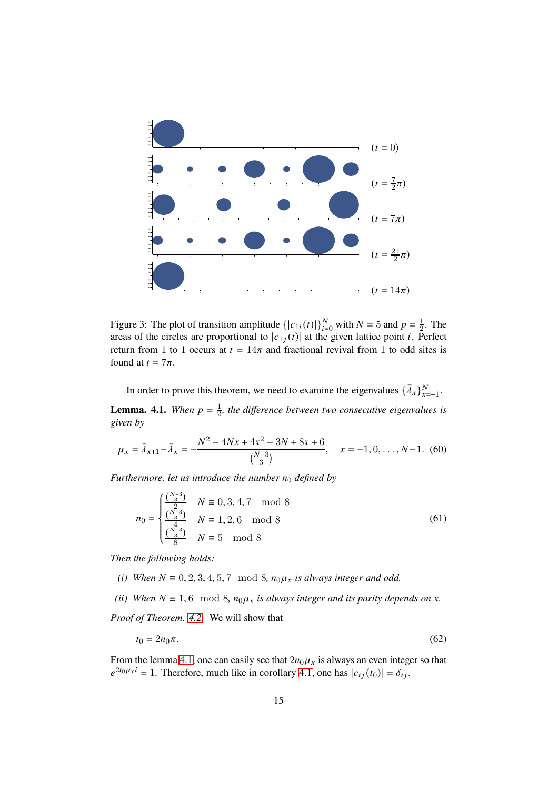

<span id="page-14-0"></span>Figure 3: The plot of transition amplitude  $\{|c_{1i}(t)|\}_{i=0}^{N}$  with  $N = 5$  and  $p = \frac{1}{2}$  $\frac{1}{2}$ . The areas of the circles are proportional to  $|c_{1j}(t)|$  at the given lattice point *i*. Perfect return from 1 to 1 occurs at  $t = 14\pi$  and fractional revival from 1 to odd sites is found at  $t = 7\pi$ .

In order to prove this theorem, we need to examine the eigenvalues  $\{\bar{\lambda}_x\}_{x=-1}^N$ .

<span id="page-14-1"></span>**Lemma. 4.1.** *When*  $p = \frac{1}{2}$  $\frac{1}{2}$ , the difference between two consecutive eigenvalues is *given by*

$$
\mu_x = \bar{\lambda}_{x+1} - \bar{\lambda}_x = -\frac{N^2 - 4Nx + 4x^2 - 3N + 8x + 6}{\binom{N+3}{3}}, \quad x = -1, 0, \dots, N-1. \tag{60}
$$

*Furthermore, let us introduce the number*  $n_0$  *defined by* 

$$
n_0 = \begin{cases} \frac{\binom{N+3}{3}}{\binom{N}{2}} & N \equiv 0, 3, 4, 7 \mod 8\\ \frac{\binom{N+3}{3}}{\binom{N+3}{3}} & N \equiv 1, 2, 6 \mod 8\\ \frac{\binom{N+3}{3}}{8} & N \equiv 5 \mod 8 \end{cases}
$$
(61)

*Then the following holds:*

- *(i)* When  $N \equiv 0, 2, 3, 4, 5, 7 \mod 8$ ,  $n_0 \mu_x$  is always integer and odd.
- *(ii)* When  $N \equiv 1, 6 \mod 8$ ,  $n_0 \mu_x$  *is always integer and its parity depends on x*.

*Proof of Theorem. [4.2.](#page-13-1)* We will show that

$$
t_0 = 2n_0\pi. \tag{62}
$$

From the lemma [4.1,](#page-14-1) one can easily see that  $2n_0\mu_x$  is always an even integer so that  $e^{2t_0\mu_x i} = 1$ . Therefore, much like in corollary [4.1,](#page-12-0) one has  $|c_{ij}(t_0)| = \delta_{ij}$ .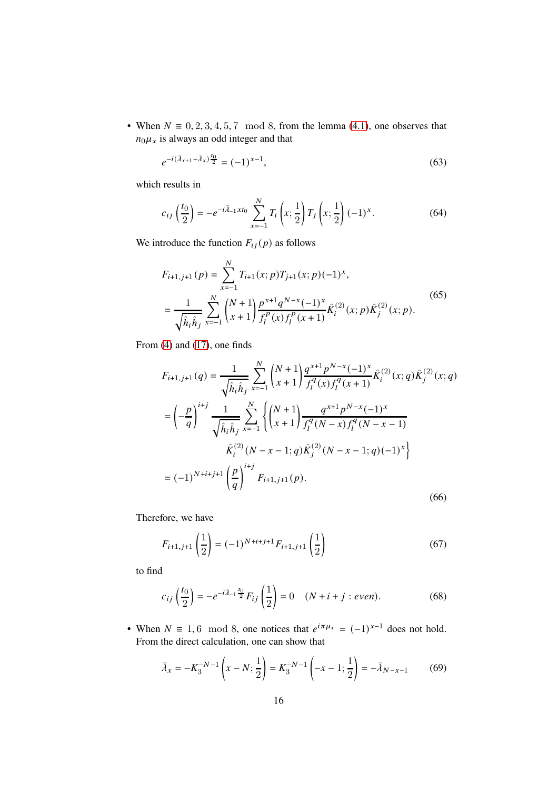• When  $N \equiv 0, 2, 3, 4, 5, 7 \mod 8$ , from the lemma [\(4.1\)](#page-14-1), one observes that  $n_0 \mu_x$  is always an odd integer and that

$$
e^{-i(\bar{\lambda}_{x+1} - \bar{\lambda}_x)\frac{t_0}{2}} = (-1)^{x-1},\tag{63}
$$

which results in

$$
c_{ij}\left(\frac{t_0}{2}\right) = -e^{-i\bar{\lambda}_{-1}xt_0} \sum_{x=-1}^{N} T_i\left(x; \frac{1}{2}\right) T_j\left(x; \frac{1}{2}\right) (-1)^x.
$$
 (64)

We introduce the function  $F_{ij}(p)$  as follows

$$
F_{i+1,j+1}(p) = \sum_{x=-1}^{N} T_{i+1}(x;p) T_{j+1}(x;p) (-1)^x,
$$
  

$$
= \frac{1}{\sqrt{\hat{h}_i \hat{h}_j}} \sum_{x=-1}^{N} {N+1 \choose x+1} \frac{p^{x+1} q^{N-x} (-1)^x}{f_l^p(x) f_l^p(x+1)} \hat{K}_i^{(2)}(x;p) \hat{K}_j^{(2)}(x;p).
$$
 (65)

From [\(4\)](#page-3-0) and [\(17\)](#page-4-1), one finds

$$
F_{i+1,j+1}(q) = \frac{1}{\sqrt{\hat{h}_i \hat{h}_j}} \sum_{x=-1}^{N} {N+1 \choose x+1} \frac{q^{x+1} p^{N-x} (-1)^x}{f_l^q(x) f_l^q(x+1)} \hat{K}_i^{(2)}(x;q) \hat{K}_j^{(2)}(x;q)
$$
  
\n
$$
= \left(-\frac{p}{q}\right)^{i+j} \frac{1}{\sqrt{\hat{h}_i \hat{h}_j}} \sum_{x=-1}^{N} \left\{ {N+1 \choose x+1} \frac{q^{x+1} p^{N-x} (-1)^x}{f_l^q(N-x) f_l^q(N-x-1)}
$$
  
\n
$$
\hat{K}_i^{(2)}(N-x-1;q) \hat{K}_j^{(2)}(N-x-1;q) (-1)^x \right\}
$$
  
\n
$$
= (-1)^{N+i+j+1} \left(\frac{p}{q}\right)^{i+j} F_{i+1,j+1}(p).
$$
 (66)

Therefore, we have

$$
F_{i+1,j+1}\left(\frac{1}{2}\right) = (-1)^{N+i+j+1} F_{i+1,j+1}\left(\frac{1}{2}\right)
$$
 (67)

to find

$$
c_{ij}\left(\frac{t_0}{2}\right) = -e^{-i\bar{\lambda}_{-1}\frac{t_0}{2}}F_{ij}\left(\frac{1}{2}\right) = 0 \quad (N+i+j:even).
$$
 (68)

• When  $N \equiv 1, 6 \mod 8$ , one notices that  $e^{i\pi \mu_x} = (-1)^{x-1}$  does not hold. From the direct calculation, one can show that

$$
\bar{\lambda}_x = -K_3^{-N-1} \left( x - N; \frac{1}{2} \right) = K_3^{-N-1} \left( -x - 1; \frac{1}{2} \right) = -\bar{\lambda}_{N-x-1}
$$
(69)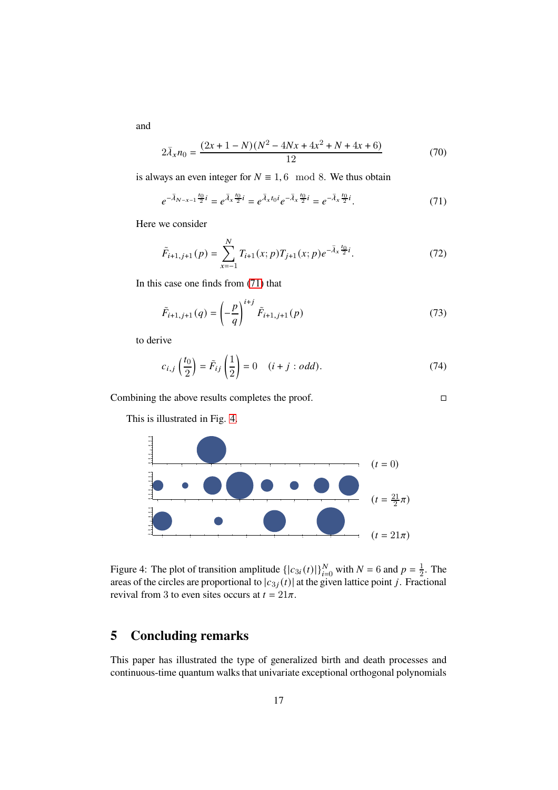and

$$
2\bar{\lambda}_x n_0 = \frac{(2x+1-N)(N^2-4Nx+4x^2+N+4x+6)}{12}
$$
 (70)

is always an even integer for  $N \equiv 1, 6 \mod 8$ . We thus obtain

<span id="page-16-0"></span>
$$
e^{-\bar{\lambda}_{N-x-1}\frac{t_0}{2}i} = e^{\bar{\lambda}_x\frac{t_0}{2}i} = e^{\bar{\lambda}_x t_0 i} e^{-\bar{\lambda}_x\frac{t_0}{2}i} = e^{-\bar{\lambda}_x\frac{t_0}{2}i}.
$$
 (71)

Here we consider

$$
\tilde{F}_{i+1,j+1}(p) = \sum_{x=-1}^{N} T_{i+1}(x;p) T_{j+1}(x;p) e^{-\bar{\lambda}_x \frac{t_0}{2} i}.
$$
\n(72)

In this case one finds from [\(71\)](#page-16-0) that

$$
\tilde{F}_{i+1,j+1}(q) = \left(-\frac{p}{q}\right)^{i+j} \tilde{F}_{i+1,j+1}(p)
$$
\n(73)

to derive

$$
c_{i,j}\left(\frac{t_0}{2}\right) = \tilde{F}_{ij}\left(\frac{1}{2}\right) = 0 \quad (i+j:odd).
$$
 (74)

Combining the above results completes the proof.

This is illustrated in Fig. [4.](#page-16-1)



<span id="page-16-1"></span>Figure 4: The plot of transition amplitude  $\{|c_{3i}(t)|\}_{i=0}^{N}$  with  $N = 6$  and  $p = \frac{1}{2}$  $\frac{1}{2}$ . The areas of the circles are proportional to  $|c_{3j}(t)|$  at the given lattice point j. Fractional revival from 3 to even sites occurs at  $t = 21\pi$ .

## **5 Concluding remarks**

This paper has illustrated the type of generalized birth and death processes and continuous-time quantum walks that univariate exceptional orthogonal polynomials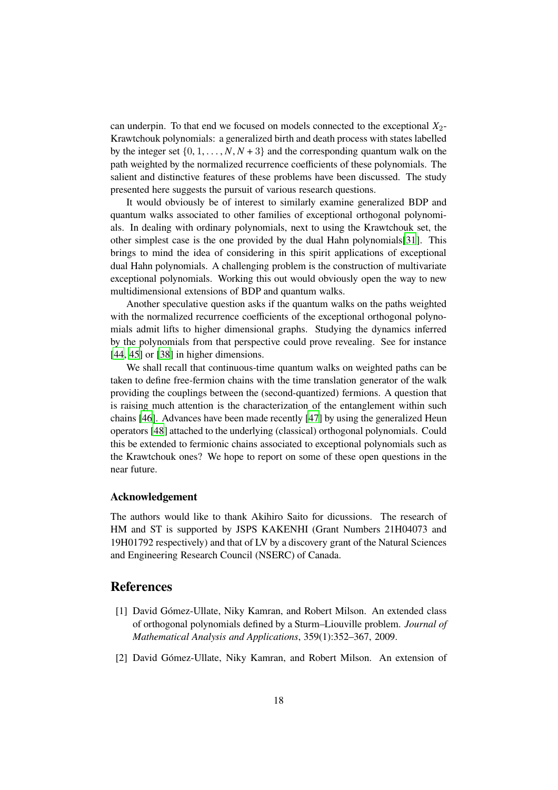can underpin. To that end we focused on models connected to the exceptional  $X_2$ -Krawtchouk polynomials: a generalized birth and death process with states labelled by the integer set  $\{0, 1, \ldots, N, N + 3\}$  and the corresponding quantum walk on the path weighted by the normalized recurrence coefficients of these polynomials. The salient and distinctive features of these problems have been discussed. The study presented here suggests the pursuit of various research questions.

It would obviously be of interest to similarly examine generalized BDP and quantum walks associated to other families of exceptional orthogonal polynomials. In dealing with ordinary polynomials, next to using the Krawtchouk set, the other simplest case is the one provided by the dual Hahn polynomials[\[31](#page-20-4)]. This brings to mind the idea of considering in this spirit applications of exceptional dual Hahn polynomials. A challenging problem is the construction of multivariate exceptional polynomials. Working this out would obviously open the way to new multidimensional extensions of BDP and quantum walks.

Another speculative question asks if the quantum walks on the paths weighted with the normalized recurrence coefficients of the exceptional orthogonal polynomials admit lifts to higher dimensional graphs. Studying the dynamics inferred by the polynomials from that perspective could prove revealing. See for instance [\[44](#page-21-4), [45\]](#page-21-5) or [\[38](#page-20-11)] in higher dimensions.

We shall recall that continuous-time quantum walks on weighted paths can be taken to define free-fermion chains with the time translation generator of the walk providing the couplings between the (second-quantized) fermions. A question that is raising much attention is the characterization of the entanglement within such chains [\[46](#page-21-6)]. Advances have been made recently [\[47](#page-21-7)] by using the generalized Heun operators [\[48](#page-21-8)] attached to the underlying (classical) orthogonal polynomials. Could this be extended to fermionic chains associated to exceptional polynomials such as the Krawtchouk ones? We hope to report on some of these open questions in the near future.

#### **Acknowledgement**

The authors would like to thank Akihiro Saito for dicussions. The research of HM and ST is supported by JSPS KAKENHI (Grant Numbers 21H04073 and 19H01792 respectively) and that of LV by a discovery grant of the Natural Sciences and Engineering Research Council (NSERC) of Canada.

### **References**

- <span id="page-17-0"></span>[1] David Gómez-Ullate, Niky Kamran, and Robert Milson. An extended class of orthogonal polynomials defined by a Sturm–Liouville problem. *Journal of Mathematical Analysis and Applications*, 359(1):352–367, 2009.
- <span id="page-17-1"></span>[2] David Gómez-Ullate, Niky Kamran, and Robert Milson. An extension of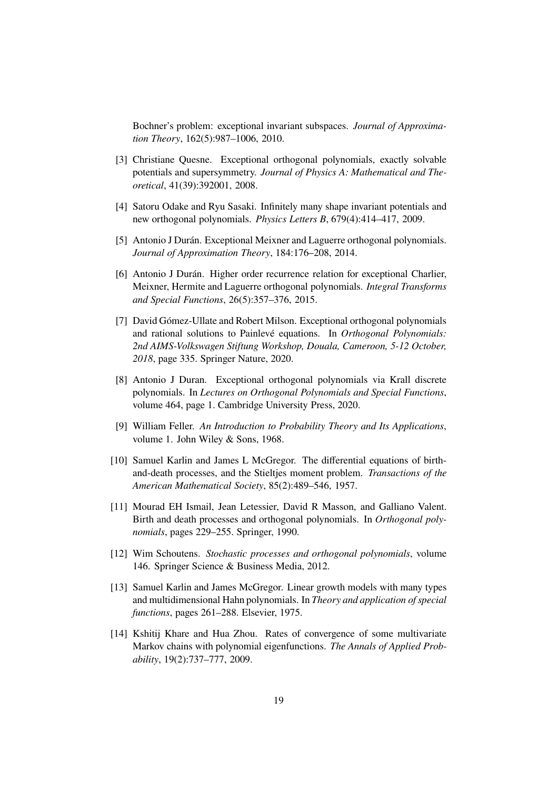Bochner's problem: exceptional invariant subspaces. *Journal of Approximation Theory*, 162(5):987–1006, 2010.

- <span id="page-18-0"></span>[3] Christiane Quesne. Exceptional orthogonal polynomials, exactly solvable potentials and supersymmetry. *Journal of Physics A: Mathematical and Theoretical*, 41(39):392001, 2008.
- <span id="page-18-1"></span>[4] Satoru Odake and Ryu Sasaki. Infinitely many shape invariant potentials and new orthogonal polynomials. *Physics Letters B*, 679(4):414–417, 2009.
- <span id="page-18-2"></span>[5] Antonio J Durán. Exceptional Meixner and Laguerre orthogonal polynomials. *Journal of Approximation Theory*, 184:176–208, 2014.
- <span id="page-18-3"></span>[6] Antonio J Durán. Higher order recurrence relation for exceptional Charlier, Meixner, Hermite and Laguerre orthogonal polynomials. *Integral Transforms and Special Functions*, 26(5):357–376, 2015.
- <span id="page-18-4"></span>[7] David Gómez-Ullate and Robert Milson. Exceptional orthogonal polynomials and rational solutions to Painlevé equations. In *Orthogonal Polynomials: 2nd AIMS-Volkswagen Stiftung Workshop, Douala, Cameroon, 5-12 October, 2018*, page 335. Springer Nature, 2020.
- <span id="page-18-5"></span>[8] Antonio J Duran. Exceptional orthogonal polynomials via Krall discrete polynomials. In *Lectures on Orthogonal Polynomials and Special Functions*, volume 464, page 1. Cambridge University Press, 2020.
- <span id="page-18-6"></span>[9] William Feller. *An Introduction to Probability Theory and Its Applications*, volume 1. John Wiley & Sons, 1968.
- <span id="page-18-7"></span>[10] Samuel Karlin and James L McGregor. The differential equations of birthand-death processes, and the Stieltjes moment problem. *Transactions of the American Mathematical Society*, 85(2):489–546, 1957.
- <span id="page-18-8"></span>[11] Mourad EH Ismail, Jean Letessier, David R Masson, and Galliano Valent. Birth and death processes and orthogonal polynomials. In *Orthogonal polynomials*, pages 229–255. Springer, 1990.
- <span id="page-18-9"></span>[12] Wim Schoutens. *Stochastic processes and orthogonal polynomials*, volume 146. Springer Science & Business Media, 2012.
- <span id="page-18-10"></span>[13] Samuel Karlin and James McGregor. Linear growth models with many types and multidimensional Hahn polynomials. In *Theory and application of special functions*, pages 261–288. Elsevier, 1975.
- <span id="page-18-11"></span>[14] Kshitij Khare and Hua Zhou. Rates of convergence of some multivariate Markov chains with polynomial eigenfunctions. *The Annals of Applied Probability*, 19(2):737–777, 2009.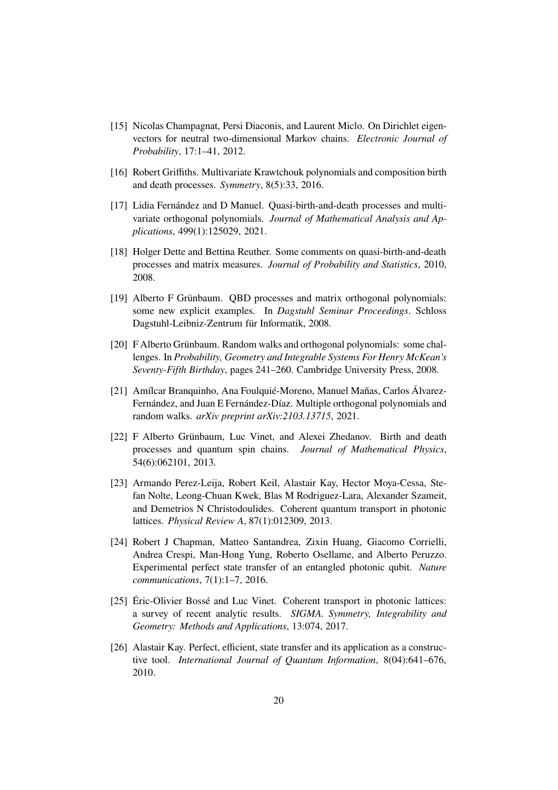- <span id="page-19-0"></span>[15] Nicolas Champagnat, Persi Diaconis, and Laurent Miclo. On Dirichlet eigenvectors for neutral two-dimensional Markov chains. *Electronic Journal of Probability*, 17:1–41, 2012.
- <span id="page-19-1"></span>[16] Robert Griffiths. Multivariate Krawtchouk polynomials and composition birth and death processes. *Symmetry*, 8(5):33, 2016.
- <span id="page-19-2"></span>[17] Lidia Fernández and D Manuel. Quasi-birth-and-death processes and multivariate orthogonal polynomials. *Journal of Mathematical Analysis and Applications*, 499(1):125029, 2021.
- <span id="page-19-3"></span>[18] Holger Dette and Bettina Reuther. Some comments on quasi-birth-and-death processes and matrix measures. *Journal of Probability and Statistics*, 2010, 2008.
- <span id="page-19-4"></span>[19] Alberto F Grünbaum. QBD processes and matrix orthogonal polynomials: some new explicit examples. In *Dagstuhl Seminar Proceedings*. Schloss Dagstuhl-Leibniz-Zentrum für Informatik, 2008.
- <span id="page-19-5"></span>[20] F Alberto Grünbaum. Random walks and orthogonal polynomials: some challenges. In *Probability, Geometry and Integrable Systems For Henry McKean's Seventy-Fifth Birthday*, pages 241–260. Cambridge University Press, 2008.
- <span id="page-19-6"></span>[21] Amílcar Branquinho, Ana Foulquié-Moreno, Manuel Mañas, Carlos Álvarez-Fernández, and Juan E Fernández-Díaz. Multiple orthogonal polynomials and random walks. *arXiv preprint arXiv:2103.13715*, 2021.
- <span id="page-19-7"></span>[22] F Alberto Grünbaum, Luc Vinet, and Alexei Zhedanov. Birth and death processes and quantum spin chains. *Journal of Mathematical Physics*, 54(6):062101, 2013.
- <span id="page-19-8"></span>[23] Armando Perez-Leija, Robert Keil, Alastair Kay, Hector Moya-Cessa, Stefan Nolte, Leong-Chuan Kwek, Blas M Rodriguez-Lara, Alexander Szameit, and Demetrios N Christodoulides. Coherent quantum transport in photonic lattices. *Physical Review A*, 87(1):012309, 2013.
- <span id="page-19-9"></span>[24] Robert J Chapman, Matteo Santandrea, Zixin Huang, Giacomo Corrielli, Andrea Crespi, Man-Hong Yung, Roberto Osellame, and Alberto Peruzzo. Experimental perfect state transfer of an entangled photonic qubit. *Nature communications*, 7(1):1–7, 2016.
- <span id="page-19-10"></span>[25] Éric-Olivier Bossé and Luc Vinet. Coherent transport in photonic lattices: a survey of recent analytic results. *SIGMA. Symmetry, Integrability and Geometry: Methods and Applications*, 13:074, 2017.
- <span id="page-19-11"></span>[26] Alastair Kay. Perfect, efficient, state transfer and its application as a constructive tool. *International Journal of Quantum Information*, 8(04):641–676, 2010.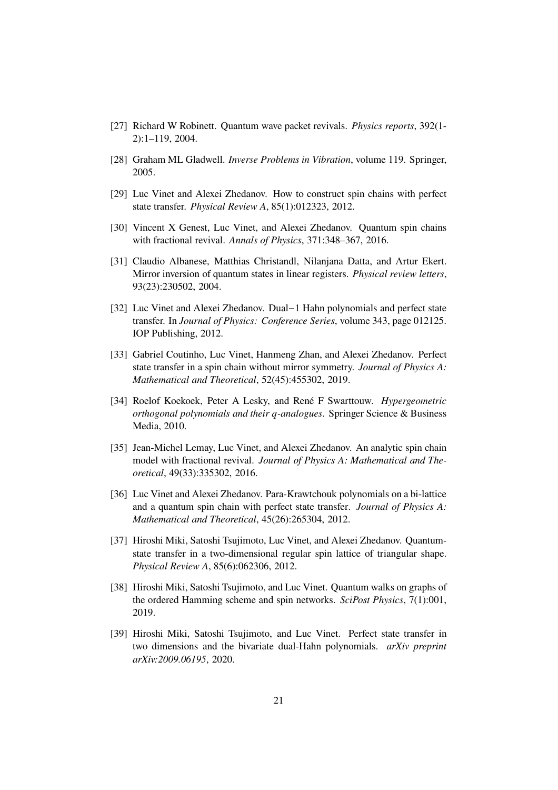- <span id="page-20-0"></span>[27] Richard W Robinett. Quantum wave packet revivals. *Physics reports*, 392(1- 2):1–119, 2004.
- <span id="page-20-1"></span>[28] Graham ML Gladwell. *Inverse Problems in Vibration*, volume 119. Springer, 2005.
- <span id="page-20-2"></span>[29] Luc Vinet and Alexei Zhedanov. How to construct spin chains with perfect state transfer. *Physical Review A*, 85(1):012323, 2012.
- <span id="page-20-3"></span>[30] Vincent X Genest, Luc Vinet, and Alexei Zhedanov. Quantum spin chains with fractional revival. *Annals of Physics*, 371:348–367, 2016.
- <span id="page-20-4"></span>[31] Claudio Albanese, Matthias Christandl, Nilanjana Datta, and Artur Ekert. Mirror inversion of quantum states in linear registers. *Physical review letters*, 93(23):230502, 2004.
- <span id="page-20-5"></span>[32] Luc Vinet and Alexei Zhedanov. Dual−1 Hahn polynomials and perfect state transfer. In *Journal of Physics: Conference Series*, volume 343, page 012125. IOP Publishing, 2012.
- <span id="page-20-6"></span>[33] Gabriel Coutinho, Luc Vinet, Hanmeng Zhan, and Alexei Zhedanov. Perfect state transfer in a spin chain without mirror symmetry. *Journal of Physics A: Mathematical and Theoretical*, 52(45):455302, 2019.
- <span id="page-20-7"></span>[34] Roelof Koekoek, Peter A Lesky, and René F Swarttouw. *Hypergeometric orthogonal polynomials and their q-analogues. Springer Science & Business* Media, 2010.
- <span id="page-20-8"></span>[35] Jean-Michel Lemay, Luc Vinet, and Alexei Zhedanov. An analytic spin chain model with fractional revival. *Journal of Physics A: Mathematical and Theoretical*, 49(33):335302, 2016.
- <span id="page-20-9"></span>[36] Luc Vinet and Alexei Zhedanov. Para-Krawtchouk polynomials on a bi-lattice and a quantum spin chain with perfect state transfer. *Journal of Physics A: Mathematical and Theoretical*, 45(26):265304, 2012.
- <span id="page-20-10"></span>[37] Hiroshi Miki, Satoshi Tsujimoto, Luc Vinet, and Alexei Zhedanov. Quantumstate transfer in a two-dimensional regular spin lattice of triangular shape. *Physical Review A*, 85(6):062306, 2012.
- <span id="page-20-11"></span>[38] Hiroshi Miki, Satoshi Tsujimoto, and Luc Vinet. Quantum walks on graphs of the ordered Hamming scheme and spin networks. *SciPost Physics*, 7(1):001, 2019.
- <span id="page-20-12"></span>[39] Hiroshi Miki, Satoshi Tsujimoto, and Luc Vinet. Perfect state transfer in two dimensions and the bivariate dual-Hahn polynomials. *arXiv preprint arXiv:2009.06195*, 2020.